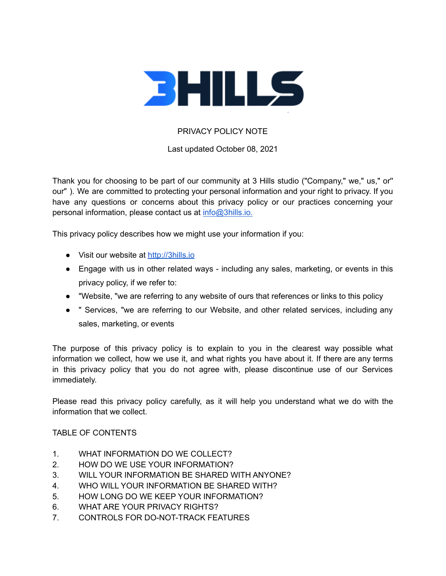

# PRIVACY POLICY NOTE

Last updated October 08, 2021

Thank you for choosing to be part of our community at 3 Hills studio ("Company," we," us," or'' our" ). We are committed to protecting your personal information and your right to privacy. If you have any questions or concerns about this privacy policy or our practices concerning your personal information, please contact us at [info@3hills.io.](mailto:info@3hills.io)

This privacy policy describes how we might use your information if you:

- Visit our website at <http://3hills.io>
- Engage with us in other related ways including any sales, marketing, or events in this privacy policy, if we refer to:
- "Website, "we are referring to any website of ours that references or links to this policy
- " Services, "we are referring to our Website, and other related services, including any sales, marketing, or events

The purpose of this privacy policy is to explain to you in the clearest way possible what information we collect, how we use it, and what rights you have about it. If there are any terms in this privacy policy that you do not agree with, please discontinue use of our Services immediately.

Please read this privacy policy carefully, as it will help you understand what we do with the information that we collect.

#### TABLE OF CONTENTS

- 1. WHAT INFORMATION DO WE COLLECT?
- 2. HOW DO WE USE YOUR INFORMATION?
- 3. WILL YOUR INFORMATION BE SHARED WITH ANYONE?
- 4. WHO WILL YOUR INFORMATION BE SHARED WITH?
- 5. HOW LONG DO WE KEEP YOUR INFORMATION?
- 6. WHAT ARE YOUR PRIVACY RIGHTS?
- 7. CONTROLS FOR DO-NOT-TRACK FEATURES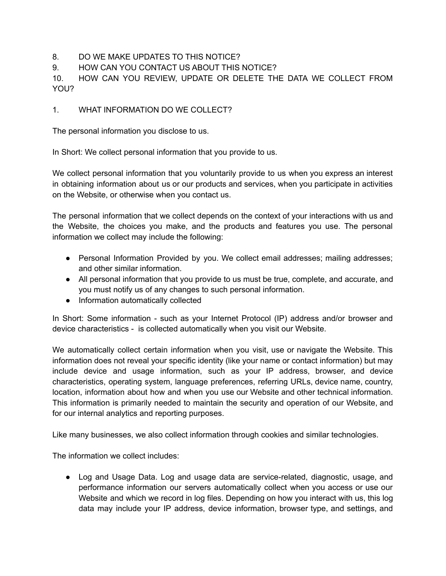# 8. DO WE MAKE UPDATES TO THIS NOTICE?

9. HOW CAN YOU CONTACT US ABOUT THIS NOTICE?

10. HOW CAN YOU REVIEW, UPDATE OR DELETE THE DATA WE COLLECT FROM YOU?

### 1. WHAT INFORMATION DO WE COLLECT?

The personal information you disclose to us.

In Short: We collect personal information that you provide to us.

We collect personal information that you voluntarily provide to us when you express an interest in obtaining information about us or our products and services, when you participate in activities on the Website, or otherwise when you contact us.

The personal information that we collect depends on the context of your interactions with us and the Website, the choices you make, and the products and features you use. The personal information we collect may include the following:

- Personal Information Provided by you. We collect email addresses; mailing addresses; and other similar information.
- All personal information that you provide to us must be true, complete, and accurate, and you must notify us of any changes to such personal information.
- Information automatically collected

In Short: Some information - such as your Internet Protocol (IP) address and/or browser and device characteristics - is collected automatically when you visit our Website.

We automatically collect certain information when you visit, use or navigate the Website. This information does not reveal your specific identity (like your name or contact information) but may include device and usage information, such as your IP address, browser, and device characteristics, operating system, language preferences, referring URLs, device name, country, location, information about how and when you use our Website and other technical information. This information is primarily needed to maintain the security and operation of our Website, and for our internal analytics and reporting purposes.

Like many businesses, we also collect information through cookies and similar technologies.

The information we collect includes:

● Log and Usage Data. Log and usage data are service-related, diagnostic, usage, and performance information our servers automatically collect when you access or use our Website and which we record in log files. Depending on how you interact with us, this log data may include your IP address, device information, browser type, and settings, and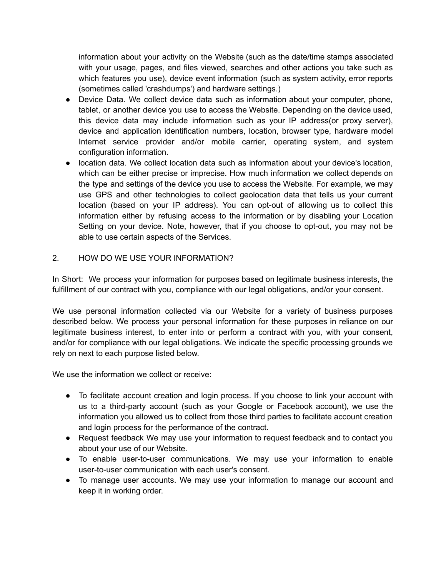information about your activity on the Website (such as the date/time stamps associated with your usage, pages, and files viewed, searches and other actions you take such as which features you use), device event information (such as system activity, error reports (sometimes called 'crashdumps') and hardware settings.)

- Device Data. We collect device data such as information about your computer, phone, tablet, or another device you use to access the Website. Depending on the device used, this device data may include information such as your IP address(or proxy server), device and application identification numbers, location, browser type, hardware model Internet service provider and/or mobile carrier, operating system, and system configuration information.
- location data. We collect location data such as information about your device's location, which can be either precise or imprecise. How much information we collect depends on the type and settings of the device you use to access the Website. For example, we may use GPS and other technologies to collect geolocation data that tells us your current location (based on your IP address). You can opt-out of allowing us to collect this information either by refusing access to the information or by disabling your Location Setting on your device. Note, however, that if you choose to opt-out, you may not be able to use certain aspects of the Services.

# 2. HOW DO WE USE YOUR INFORMATION?

In Short: We process your information for purposes based on legitimate business interests, the fulfillment of our contract with you, compliance with our legal obligations, and/or your consent.

We use personal information collected via our Website for a variety of business purposes described below. We process your personal information for these purposes in reliance on our legitimate business interest, to enter into or perform a contract with you, with your consent, and/or for compliance with our legal obligations. We indicate the specific processing grounds we rely on next to each purpose listed below.

We use the information we collect or receive:

- To facilitate account creation and login process. If you choose to link your account with us to a third-party account (such as your Google or Facebook account), we use the information you allowed us to collect from those third parties to facilitate account creation and login process for the performance of the contract.
- Request feedback We may use your information to request feedback and to contact you about your use of our Website.
- To enable user-to-user communications. We may use your information to enable user-to-user communication with each user's consent.
- To manage user accounts. We may use your information to manage our account and keep it in working order.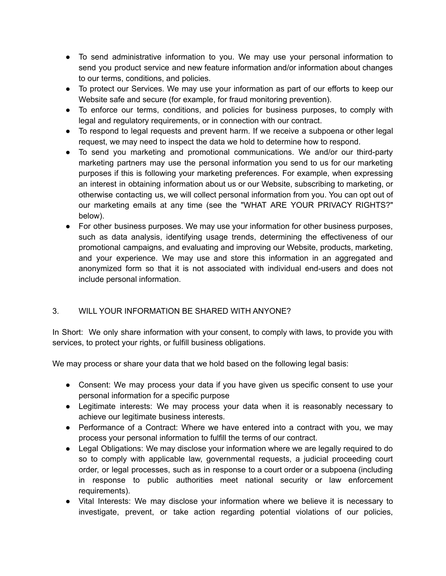- To send administrative information to you. We may use your personal information to send you product service and new feature information and/or information about changes to our terms, conditions, and policies.
- To protect our Services. We may use your information as part of our efforts to keep our Website safe and secure (for example, for fraud monitoring prevention).
- To enforce our terms, conditions, and policies for business purposes, to comply with legal and regulatory requirements, or in connection with our contract.
- To respond to legal requests and prevent harm. If we receive a subpoena or other legal request, we may need to inspect the data we hold to determine how to respond.
- To send you marketing and promotional communications. We and/or our third-party marketing partners may use the personal information you send to us for our marketing purposes if this is following your marketing preferences. For example, when expressing an interest in obtaining information about us or our Website, subscribing to marketing, or otherwise contacting us, we will collect personal information from you. You can opt out of our marketing emails at any time (see the "WHAT ARE YOUR PRIVACY RIGHTS?" below).
- For other business purposes. We may use your information for other business purposes, such as data analysis, identifying usage trends, determining the effectiveness of our promotional campaigns, and evaluating and improving our Website, products, marketing, and your experience. We may use and store this information in an aggregated and anonymized form so that it is not associated with individual end-users and does not include personal information.

### 3. WILL YOUR INFORMATION BE SHARED WITH ANYONE?

In Short: We only share information with your consent, to comply with laws, to provide you with services, to protect your rights, or fulfill business obligations.

We may process or share your data that we hold based on the following legal basis:

- Consent: We may process your data if you have given us specific consent to use your personal information for a specific purpose
- Legitimate interests: We may process your data when it is reasonably necessary to achieve our legitimate business interests.
- Performance of a Contract: Where we have entered into a contract with you, we may process your personal information to fulfill the terms of our contract.
- Legal Obligations: We may disclose your information where we are legally required to do so to comply with applicable law, governmental requests, a judicial proceeding court order, or legal processes, such as in response to a court order or a subpoena (including in response to public authorities meet national security or law enforcement requirements).
- Vital Interests: We may disclose your information where we believe it is necessary to investigate, prevent, or take action regarding potential violations of our policies,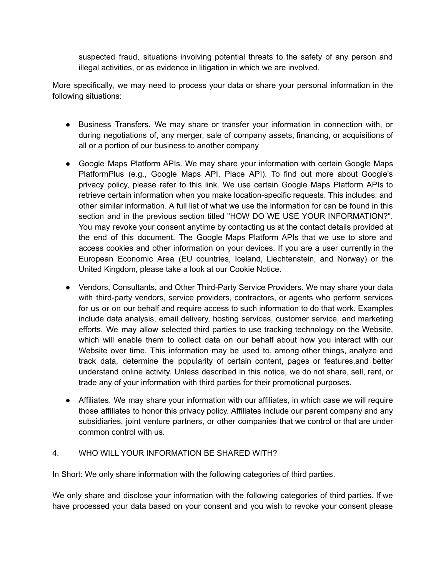suspected fraud, situations involving potential threats to the safety of any person and illegal activities, or as evidence in litigation in which we are involved.

More specifically, we may need to process your data or share your personal information in the following situations:

- Business Transfers. We may share or transfer your information in connection with, or during negotiations of, any merger, sale of company assets, financing, or acquisitions of all or a portion of our business to another company
- Google Maps Platform APIs. We may share your information with certain Google Maps PlatformPlus (e.g., Google Maps API, Place API). To find out more about Google's privacy policy, please refer to this link. We use certain Google Maps Platform APIs to retrieve certain information when you make location-specific requests. This includes: and other similar information. A full list of what we use the information for can be found in this section and in the previous section titled "HOW DO WE USE YOUR INFORMATION?". You may revoke your consent anytime by contacting us at the contact details provided at the end of this document. The Google Maps Platform APIs that we use to store and access cookies and other information on your devices. If you are a user currently in the European Economic Area (EU countries, Iceland, Liechtenstein, and Norway) or the United Kingdom, please take a look at our Cookie Notice.
- Vendors, Consultants, and Other Third-Party Service Providers. We may share your data with third-party vendors, service providers, contractors, or agents who perform services for us or on our behalf and require access to such information to do that work. Examples include data analysis, email delivery, hosting services, customer service, and marketing efforts. We may allow selected third parties to use tracking technology on the Website, which will enable them to collect data on our behalf about how you interact with our Website over time. This information may be used to, among other things, analyze and track data, determine the popularity of certain content, pages or features,and better understand online activity. Unless described in this notice, we do not share, sell, rent, or trade any of your information with third parties for their promotional purposes.
- Affiliates. We may share your information with our affiliates, in which case we will require those affiliates to honor this privacy policy. Affiliates include our parent company and any subsidiaries, joint venture partners, or other companies that we control or that are under common control with us.

### 4. WHO WILL YOUR INFORMATION BE SHARED WITH?

In Short: We only share information with the following categories of third parties.

We only share and disclose your information with the following categories of third parties. If we have processed your data based on your consent and you wish to revoke your consent please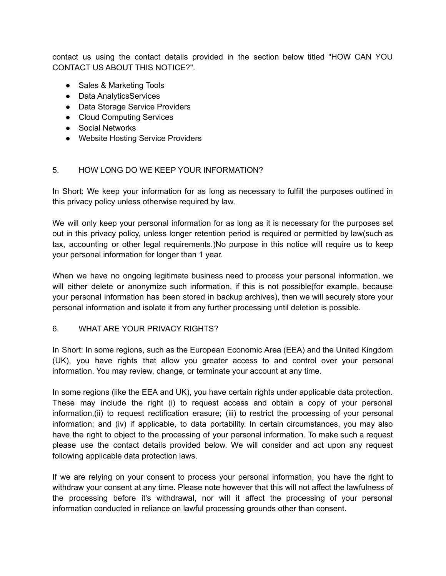contact us using the contact details provided in the section below titled "HOW CAN YOU CONTACT US ABOUT THIS NOTICE?".

- Sales & Marketing Tools
- Data AnalyticsServices
- Data Storage Service Providers
- Cloud Computing Services
- Social Networks
- Website Hosting Service Providers

#### 5. HOW LONG DO WE KEEP YOUR INFORMATION?

In Short: We keep your information for as long as necessary to fulfill the purposes outlined in this privacy policy unless otherwise required by law.

We will only keep your personal information for as long as it is necessary for the purposes set out in this privacy policy, unless longer retention period is required or permitted by law(such as tax, accounting or other legal requirements.)No purpose in this notice will require us to keep your personal information for longer than 1 year.

When we have no ongoing legitimate business need to process your personal information, we will either delete or anonymize such information, if this is not possible(for example, because your personal information has been stored in backup archives), then we will securely store your personal information and isolate it from any further processing until deletion is possible.

#### 6. WHAT ARE YOUR PRIVACY RIGHTS?

In Short: In some regions, such as the European Economic Area (EEA) and the United Kingdom (UK), you have rights that allow you greater access to and control over your personal information. You may review, change, or terminate your account at any time.

In some regions (like the EEA and UK), you have certain rights under applicable data protection. These may include the right (i) to request access and obtain a copy of your personal information,(ii) to request rectification erasure; (iii) to restrict the processing of your personal information; and (iv) if applicable, to data portability. In certain circumstances, you may also have the right to object to the processing of your personal information. To make such a request please use the contact details provided below. We will consider and act upon any request following applicable data protection laws.

If we are relying on your consent to process your personal information, you have the right to withdraw your consent at any time. Please note however that this will not affect the lawfulness of the processing before it's withdrawal, nor will it affect the processing of your personal information conducted in reliance on lawful processing grounds other than consent.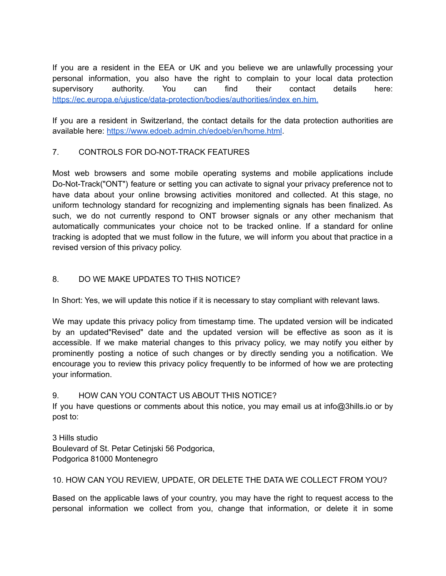If you are a resident in the EEA or UK and you believe we are unlawfully processing your personal information, you also have the right to complain to your local data protection supervisory authority. You can find their contact details here: <https://ec.europa.e/ujustice/data-protection/bodies/authorities/index> en.him.

If you are a resident in Switzerland, the contact details for the data protection authorities are available here: <https://www.edoeb.admin.ch/edoeb/en/home.html>.

# 7. CONTROLS FOR DO-NOT-TRACK FEATURES

Most web browsers and some mobile operating systems and mobile applications include Do-Not-Track("ONT") feature or setting you can activate to signal your privacy preference not to have data about your online browsing activities monitored and collected. At this stage, no uniform technology standard for recognizing and implementing signals has been finalized. As such, we do not currently respond to ONT browser signals or any other mechanism that automatically communicates your choice not to be tracked online. If a standard for online tracking is adopted that we must follow in the future, we will inform you about that practice in a revised version of this privacy policy.

# 8. DO WE MAKE UPDATES TO THIS NOTICE?

In Short: Yes, we will update this notice if it is necessary to stay compliant with relevant laws.

We may update this privacy policy from timestamp time. The updated version will be indicated by an updated"Revised" date and the updated version will be effective as soon as it is accessible. If we make material changes to this privacy policy, we may notify you either by prominently posting a notice of such changes or by directly sending you a notification. We encourage you to review this privacy policy frequently to be informed of how we are protecting your information.

### 9. HOW CAN YOU CONTACT US ABOUT THIS NOTICE?

If you have questions or comments about this notice, you may email us at info@3hills.io or by post to:

3 Hills studio Boulevard of St. Petar Cetinjski 56 Podgorica, Podgorica 81000 Montenegro

### 10. HOW CAN YOU REVIEW, UPDATE, OR DELETE THE DATA WE COLLECT FROM YOU?

Based on the applicable laws of your country, you may have the right to request access to the personal information we collect from you, change that information, or delete it in some